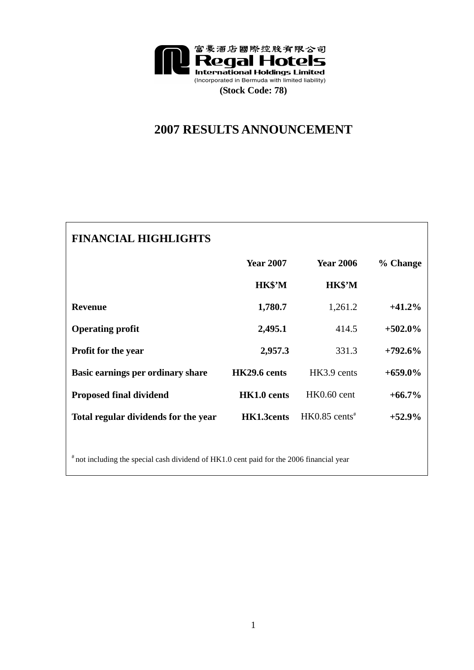

## **2007 RESULTS ANNOUNCEMENT**

| <b>FINANCIAL HIGHLIGHTS</b>          |                  |                             |            |
|--------------------------------------|------------------|-----------------------------|------------|
|                                      | <b>Year 2007</b> | <b>Year 2006</b>            | % Change   |
|                                      | HK\$'M           | HK\$'M                      |            |
| <b>Revenue</b>                       | 1,780.7          | 1,261.2                     | $+41.2%$   |
| <b>Operating profit</b>              | 2,495.1          | 414.5                       | $+502.0\%$ |
| <b>Profit for the year</b>           | 2,957.3          | 331.3                       | $+792.6\%$ |
| Basic earnings per ordinary share    | HK29.6 cents     | HK3.9 cents                 | $+659.0\%$ |
| <b>Proposed final dividend</b>       | HK1.0 cents      | $HK0.60$ cent               | $+66.7\%$  |
| Total regular dividends for the year | HK1.3cents       | $HK0.85$ cents <sup>#</sup> | $+52.9\%$  |
|                                      |                  |                             |            |

 $*$  not including the special cash dividend of HK1.0 cent paid for the 2006 financial year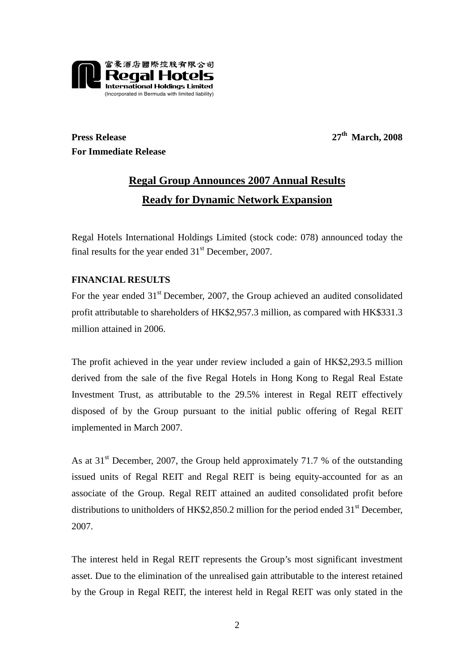

**Press Release** 27<sup>th</sup> March, 2008 **For Immediate Release** 

# **Regal Group Announces 2007 Annual Results Ready for Dynamic Network Expansion**

Regal Hotels International Holdings Limited (stock code: 078) announced today the final results for the year ended  $31<sup>st</sup>$  December, 2007.

### **FINANCIAL RESULTS**

For the year ended  $31<sup>st</sup>$  December, 2007, the Group achieved an audited consolidated profit attributable to shareholders of HK\$2,957.3 million, as compared with HK\$331.3 million attained in 2006.

The profit achieved in the year under review included a gain of HK\$2,293.5 million derived from the sale of the five Regal Hotels in Hong Kong to Regal Real Estate Investment Trust, as attributable to the 29.5% interest in Regal REIT effectively disposed of by the Group pursuant to the initial public offering of Regal REIT implemented in March 2007.

As at  $31<sup>st</sup>$  December, 2007, the Group held approximately 71.7 % of the outstanding issued units of Regal REIT and Regal REIT is being equity-accounted for as an associate of the Group. Regal REIT attained an audited consolidated profit before distributions to unitholders of HK\$2,850.2 million for the period ended  $31<sup>st</sup>$  December, 2007.

The interest held in Regal REIT represents the Group's most significant investment asset. Due to the elimination of the unrealised gain attributable to the interest retained by the Group in Regal REIT, the interest held in Regal REIT was only stated in the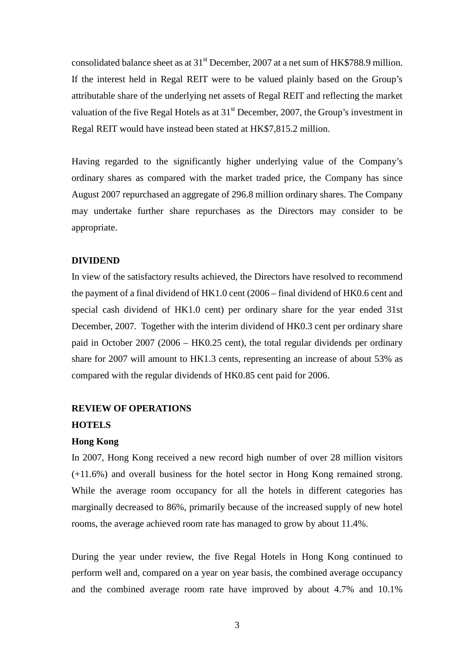consolidated balance sheet as at  $31<sup>st</sup>$  December, 2007 at a net sum of HK\$788.9 million. If the interest held in Regal REIT were to be valued plainly based on the Group's attributable share of the underlying net assets of Regal REIT and reflecting the market valuation of the five Regal Hotels as at  $31<sup>st</sup>$  December, 2007, the Group's investment in Regal REIT would have instead been stated at HK\$7,815.2 million.

Having regarded to the significantly higher underlying value of the Company's ordinary shares as compared with the market traded price, the Company has since August 2007 repurchased an aggregate of 296.8 million ordinary shares. The Company may undertake further share repurchases as the Directors may consider to be appropriate.

#### **DIVIDEND**

In view of the satisfactory results achieved, the Directors have resolved to recommend the payment of a final dividend of HK1.0 cent (2006 – final dividend of HK0.6 cent and special cash dividend of HK1.0 cent) per ordinary share for the year ended 31st December, 2007. Together with the interim dividend of HK0.3 cent per ordinary share paid in October 2007 (2006 – HK0.25 cent), the total regular dividends per ordinary share for 2007 will amount to HK1.3 cents, representing an increase of about 53% as compared with the regular dividends of HK0.85 cent paid for 2006.

#### **REVIEW OF OPERATIONS**

#### **HOTELS**

#### **Hong Kong**

In 2007, Hong Kong received a new record high number of over 28 million visitors (+11.6%) and overall business for the hotel sector in Hong Kong remained strong. While the average room occupancy for all the hotels in different categories has marginally decreased to 86%, primarily because of the increased supply of new hotel rooms, the average achieved room rate has managed to grow by about 11.4%.

During the year under review, the five Regal Hotels in Hong Kong continued to perform well and, compared on a year on year basis, the combined average occupancy and the combined average room rate have improved by about 4.7% and 10.1%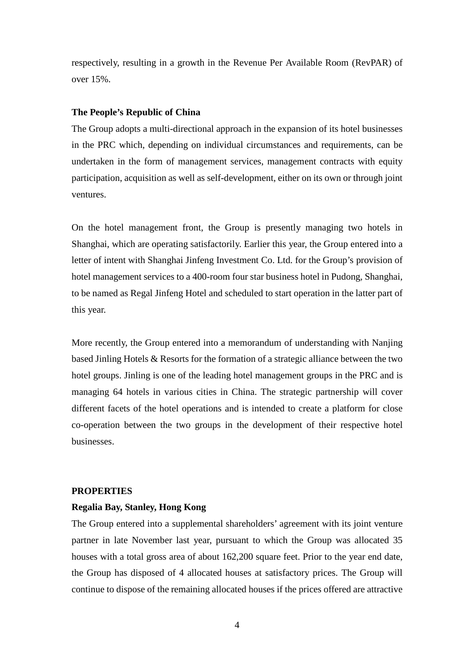respectively, resulting in a growth in the Revenue Per Available Room (RevPAR) of over 15%.

#### **The People's Republic of China**

The Group adopts a multi-directional approach in the expansion of its hotel businesses in the PRC which, depending on individual circumstances and requirements, can be undertaken in the form of management services, management contracts with equity participation, acquisition as well as self-development, either on its own or through joint ventures.

On the hotel management front, the Group is presently managing two hotels in Shanghai, which are operating satisfactorily. Earlier this year, the Group entered into a letter of intent with Shanghai Jinfeng Investment Co. Ltd. for the Group's provision of hotel management services to a 400-room four star business hotel in Pudong, Shanghai, to be named as Regal Jinfeng Hotel and scheduled to start operation in the latter part of this year.

More recently, the Group entered into a memorandum of understanding with Nanjing based Jinling Hotels & Resorts for the formation of a strategic alliance between the two hotel groups. Jinling is one of the leading hotel management groups in the PRC and is managing 64 hotels in various cities in China. The strategic partnership will cover different facets of the hotel operations and is intended to create a platform for close co-operation between the two groups in the development of their respective hotel businesses.

#### **PROPERTIES**

#### **Regalia Bay, Stanley, Hong Kong**

The Group entered into a supplemental shareholders' agreement with its joint venture partner in late November last year, pursuant to which the Group was allocated 35 houses with a total gross area of about 162,200 square feet. Prior to the year end date, the Group has disposed of 4 allocated houses at satisfactory prices. The Group will continue to dispose of the remaining allocated houses if the prices offered are attractive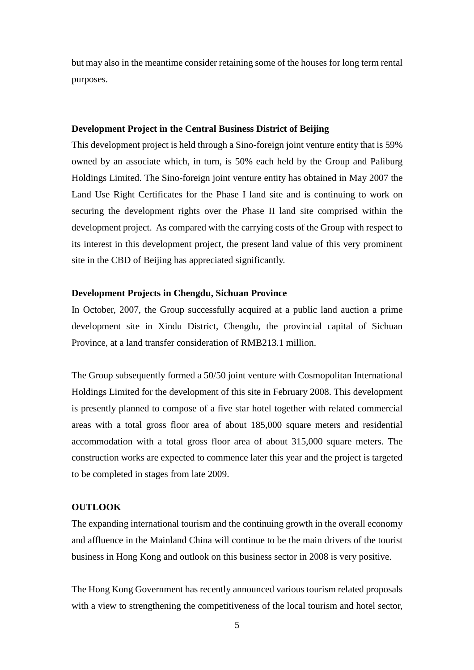but may also in the meantime consider retaining some of the houses for long term rental purposes.

#### **Development Project in the Central Business District of Beijing**

This development project is held through a Sino-foreign joint venture entity that is 59% owned by an associate which, in turn, is 50% each held by the Group and Paliburg Holdings Limited. The Sino-foreign joint venture entity has obtained in May 2007 the Land Use Right Certificates for the Phase I land site and is continuing to work on securing the development rights over the Phase II land site comprised within the development project. As compared with the carrying costs of the Group with respect to its interest in this development project, the present land value of this very prominent site in the CBD of Beijing has appreciated significantly.

#### **Development Projects in Chengdu, Sichuan Province**

In October, 2007, the Group successfully acquired at a public land auction a prime development site in Xindu District, Chengdu, the provincial capital of Sichuan Province, at a land transfer consideration of RMB213.1 million.

The Group subsequently formed a 50/50 joint venture with Cosmopolitan International Holdings Limited for the development of this site in February 2008. This development is presently planned to compose of a five star hotel together with related commercial areas with a total gross floor area of about 185,000 square meters and residential accommodation with a total gross floor area of about 315,000 square meters. The construction works are expected to commence later this year and the project is targeted to be completed in stages from late 2009.

#### **OUTLOOK**

The expanding international tourism and the continuing growth in the overall economy and affluence in the Mainland China will continue to be the main drivers of the tourist business in Hong Kong and outlook on this business sector in 2008 is very positive.

The Hong Kong Government has recently announced various tourism related proposals with a view to strengthening the competitiveness of the local tourism and hotel sector,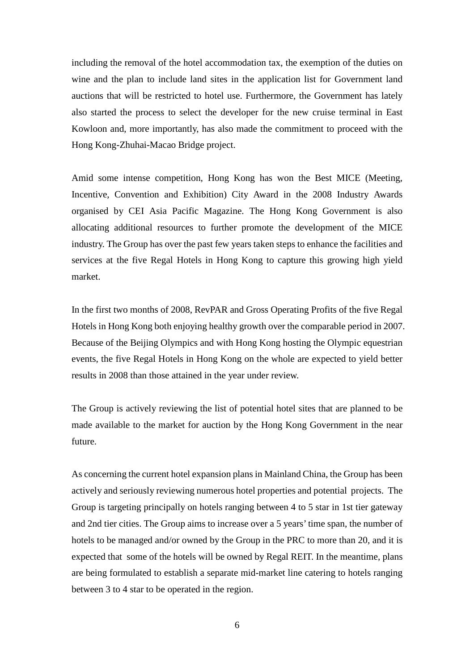including the removal of the hotel accommodation tax, the exemption of the duties on wine and the plan to include land sites in the application list for Government land auctions that will be restricted to hotel use. Furthermore, the Government has lately also started the process to select the developer for the new cruise terminal in East Kowloon and, more importantly, has also made the commitment to proceed with the Hong Kong-Zhuhai-Macao Bridge project.

Amid some intense competition, Hong Kong has won the Best MICE (Meeting, Incentive, Convention and Exhibition) City Award in the 2008 Industry Awards organised by CEI Asia Pacific Magazine. The Hong Kong Government is also allocating additional resources to further promote the development of the MICE industry. The Group has over the past few years taken steps to enhance the facilities and services at the five Regal Hotels in Hong Kong to capture this growing high yield market.

In the first two months of 2008, RevPAR and Gross Operating Profits of the five Regal Hotels in Hong Kong both enjoying healthy growth over the comparable period in 2007. Because of the Beijing Olympics and with Hong Kong hosting the Olympic equestrian events, the five Regal Hotels in Hong Kong on the whole are expected to yield better results in 2008 than those attained in the year under review.

The Group is actively reviewing the list of potential hotel sites that are planned to be made available to the market for auction by the Hong Kong Government in the near future.

As concerning the current hotel expansion plans in Mainland China, the Group has been actively and seriously reviewing numerous hotel properties and potential projects. The Group is targeting principally on hotels ranging between 4 to 5 star in 1st tier gateway and 2nd tier cities. The Group aims to increase over a 5 years' time span, the number of hotels to be managed and/or owned by the Group in the PRC to more than 20, and it is expected that some of the hotels will be owned by Regal REIT. In the meantime, plans are being formulated to establish a separate mid-market line catering to hotels ranging between 3 to 4 star to be operated in the region.